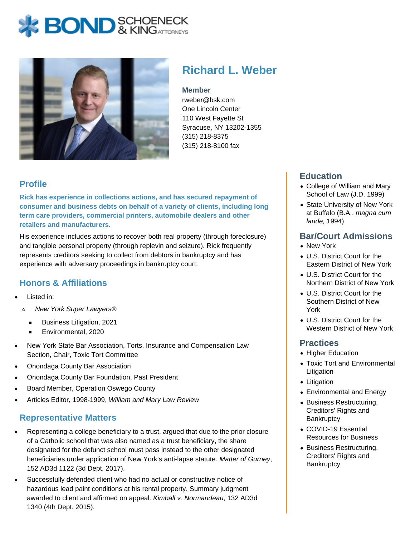# **BOND** & KING ATTORNECK



## **Richard L. Weber**

#### **Member**

rweber@bsk.com One Lincoln Center 110 West Fayette St Syracuse, NY 13202-1355 (315) 218-8375 (315) 218-8100 fax

#### **Profile**

**Rick has experience in collections actions, and has secured repayment of consumer and business debts on behalf of a variety of clients, including long term care providers, commercial printers, automobile dealers and other retailers and manufacturers.**

His experience includes actions to recover both real property (through foreclosure) and tangible personal property (through replevin and seizure). Rick frequently represents creditors seeking to collect from debtors in bankruptcy and has experience with adversary proceedings in bankruptcy court.

### **Honors & Affiliations**

- Listed in:
	- New York Super Lawyers®  $\circ$ 
		- Business Litigation, 2021  $\blacksquare$
		- Environmental, 2020  $\blacksquare$
- New York State Bar Association, Torts, Insurance and Compensation Law Section, Chair, Toxic Tort Committee
- Onondaga County Bar Association
- Onondaga County Bar Foundation, Past President
- Board Member, Operation Oswego County
- Articles Editor, 1998-1999, William and Mary Law Review

#### **Representative Matters**

- Representing a college beneficiary to a trust, argued that due to the prior closure of a Catholic school that was also named as a trust beneficiary, the share designated for the defunct school must pass instead to the other designated beneficiaries under application of New York's anti-lapse statute. Matter of Gurney, 152 AD3d 1122 (3d Dept. 2017).
- Successfully defended client who had no actual or constructive notice of hazardous lead paint conditions at his rental property. Summary judgment awarded to client and affirmed on appeal. Kimball v. Normandeau, 132 AD3d 1340 (4th Dept. 2015).

#### **Education**

- College of William and Mary School of Law (J.D. 1999)
- State University of New York at Buffalo (B.A., magna cum laude, 1994)

#### **Bar/Court Admissions**

- New York
- U.S. District Court for the Eastern District of New York
- U.S. District Court for the Northern District of New York
- U.S. District Court for the Southern District of New York
- U.S. District Court for the Western District of New York

#### **Practices**

- Higher Education
- Toxic Tort and Environmental Litigation
- Litigation
- Environmental and Energy
- Business Restructuring, Creditors' Rights and **Bankruptcy**
- COVID-19 Essential Resources for Business
- Business Restructuring, Creditors' Rights and **Bankruptcy**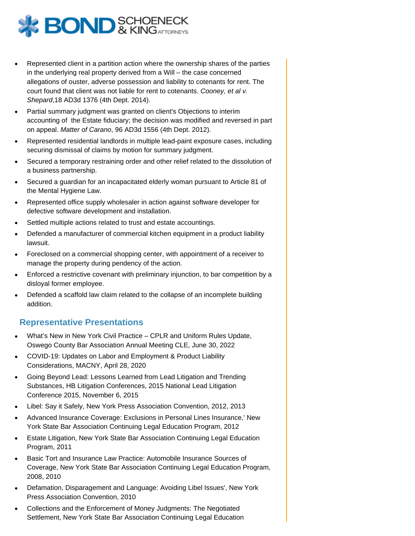

- Represented client in a partition action where the ownership shares of the parties in the underlying real property derived from a Will – the case concerned allegations of ouster, adverse possession and liability to cotenants for rent. The court found that client was not liable for rent to cotenants. Cooney, et al v. Shepard,18 AD3d 1376 (4th Dept. 2014).
- Partial summary judgment was granted on client's Objections to interim accounting of the Estate fiduciary; the decision was modified and reversed in part on appeal. Matter of Carano, 96 AD3d 1556 (4th Dept. 2012).
- Represented residential landlords in multiple lead-paint exposure cases, including securing dismissal of claims by motion for summary judgment.
- Secured a temporary restraining order and other relief related to the dissolution of a business partnership.
- Secured a guardian for an incapacitated elderly woman pursuant to Article 81 of the Mental Hygiene Law.
- Represented office supply wholesaler in action against software developer for defective software development and installation.
- Settled multiple actions related to trust and estate accountings.
- Defended a manufacturer of commercial kitchen equipment in a product liability lawsuit.
- Foreclosed on a commercial shopping center, with appointment of a receiver to manage the property during pendency of the action.
- Enforced a restrictive covenant with preliminary injunction, to bar competition by a disloyal former employee.
- Defended a scaffold law claim related to the collapse of an incomplete building addition.

#### **Representative Presentations**

- What's New in New York Civil Practice CPLR and Uniform Rules Update, Oswego County Bar Association Annual Meeting CLE, June 30, 2022
- COVID-19: Updates on Labor and Employment & Product Liability Considerations, MACNY, April 28, 2020
- Going Beyond Lead: Lessons Learned from Lead Litigation and Trending Substances, HB Litigation Conferences, 2015 National Lead Litigation Conference 2015, November 6, 2015
- Libel: Say it Safely, New York Press Association Convention, 2012, 2013
- Advanced Insurance Coverage: Exclusions in Personal Lines Insurance,' New York State Bar Association Continuing Legal Education Program, 2012
- Estate Litigation, New York State Bar Association Continuing Legal Education Program, 2011
- Basic Tort and Insurance Law Practice: Automobile Insurance Sources of Coverage, New York State Bar Association Continuing Legal Education Program, 2008, 2010
- Defamation, Disparagement and Language: Avoiding Libel Issues', New York Press Association Convention, 2010
- Collections and the Enforcement of Money Judgments: The Negotiated Settlement, New York State Bar Association Continuing Legal Education